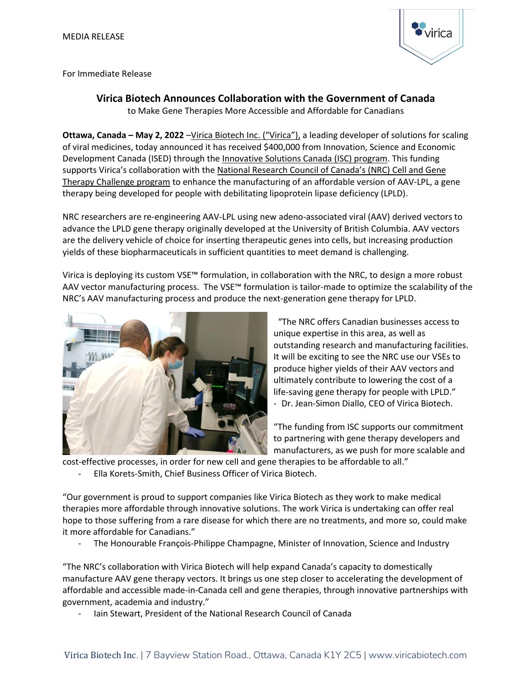

For Immediate Release

## **Virica Biotech Announces Collaboration with the Government of Canada**

to Make Gene Therapies More Accessible and Affordable for Canadians

**Ottawa, Canada - May 2, 2022** -[Virica Biotech Inc.](https://www.viricabiotech.com/) ("Virica"), a leading developer of solutions for scaling of viral medicines, today announced it has received \$400,000 from Innovation, Science and Economic Development Canada (ISED) through th[e Innovative Solutions Canada \(ISC\) program.](https://www.ic.gc.ca/eic/site/101.nsf/eng/home) This funding supports Virica's collaboration with the [National Research Council of Canada](https://nrc.canada.ca/en/research-development/research-collaboration/programs/about-disruptive-technology-solutions-cell-gene-therapy-challenge-program)'s (NRC) Cell and Gene Therapy Challenge program to enhance the manufacturing of an affordable version of AAV-LPL, a gene therapy being developed for people with debilitating lipoprotein lipase deficiency (LPLD).

NRC researchers are re-engineering AAV-LPL using new adeno-associated viral (AAV) derived vectors to advance the LPLD gene therapy originally developed at the University of British Columbia. AAV vectors are the delivery vehicle of choice for inserting therapeutic genes into cells, but increasing production yields of these biopharmaceuticals in sufficient quantities to meet demand is challenging.

Virica is deploying its custom VSE™ formulation, in collaboration with the NRC, to design a more robust AAV vector manufacturing process. The VSE™ formulation is tailor-made to optimize the scalability of the NRC's AAV manufacturing process and produce the next-generation gene therapy for LPLD.



"The NRC offers Canadian businesses access to unique expertise in this area, as well as outstanding research and manufacturing facilities. It will be exciting to see the NRC use our VSEs to produce higher yields of their AAV vectors and ultimately contribute to lowering the cost of a life-saving gene therapy for people with LPLD." - Dr. Jean-Simon Diallo, CEO of Virica Biotech.

"The funding from ISC supports our commitment to partnering with gene therapy developers and manufacturers, as we push for more scalable and

cost-effective processes, in order for new cell and gene therapies to be affordable to all."

Ella Korets-Smith, Chief Business Officer of Virica Biotech.

"Our government is proud to support companies like Virica Biotech as they work to make medical therapies more affordable through innovative solutions. The work Virica is undertaking can offer real hope to those suffering from a rare disease for which there are no treatments, and more so, could make it more affordable for Canadians."

- The Honourable François-Philippe Champagne, Minister of Innovation, Science and Industry

"The NRC's collaboration with Virica Biotech will help expand Canada's capacity to domestically manufacture AAV gene therapy vectors. It brings us one step closer to accelerating the development of affordable and accessible made-in-Canada cell and gene therapies, through innovative partnerships with government, academia and industry."

- Iain Stewart, President of the National Research Council of Canada